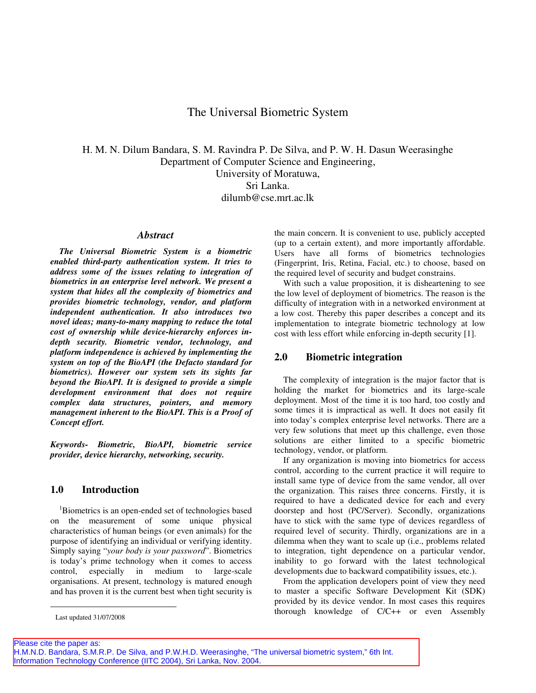# The Universal Biometric System

H. M. N. Dilum Bandara, S. M. Ravindra P. De Silva, and P. W. H. Dasun Weerasinghe Department of Computer Science and Engineering, University of Moratuwa, Sri Lanka. dilumb@cse.mrt.ac.lk

#### *Abstract*

*The Universal Biometric System is a biometric enabled third-party authentication system. It tries to address some of the issues relating to integration of biometrics in an enterprise level network. We present a system that hides all the complexity of biometrics and provides biometric technology, vendor, and platform independent authentication. It also introduces two novel ideas; many-to-many mapping to reduce the total cost of ownership while device-hierarchy enforces indepth security. Biometric vendor, technology, and platform independence is achieved by implementing the system on top of the BioAPI (the Defacto standard for biometrics). However our system sets its sights far beyond the BioAPI. It is designed to provide a simple development environment that does not require complex data structures, pointers, and memory management inherent to the BioAPI. This is a Proof of Concept effort.* 

*Keywords- Biometric, BioAPI, biometric service provider, device hierarchy, networking, security.* 

## **1.0 Introduction**

<sup>1</sup>Biometrics is an open-ended set of technologies based on the measurement of some unique physical characteristics of human beings (or even animals) for the purpose of identifying an individual or verifying identity. Simply saying "*your body is your password*". Biometrics is today's prime technology when it comes to access control, especially in medium to large-scale organisations. At present, technology is matured enough and has proven it is the current best when tight security is

 $\overline{a}$ 

the main concern. It is convenient to use, publicly accepted (up to a certain extent), and more importantly affordable. Users have all forms of biometrics technologies (Fingerprint, Iris, Retina, Facial, etc.) to choose, based on the required level of security and budget constrains.

With such a value proposition, it is disheartening to see the low level of deployment of biometrics. The reason is the difficulty of integration with in a networked environment at a low cost. Thereby this paper describes a concept and its implementation to integrate biometric technology at low cost with less effort while enforcing in-depth security [1].

### **2.0 Biometric integration**

The complexity of integration is the major factor that is holding the market for biometrics and its large-scale deployment. Most of the time it is too hard, too costly and some times it is impractical as well. It does not easily fit into today's complex enterprise level networks. There are a very few solutions that meet up this challenge, even those solutions are either limited to a specific biometric technology, vendor, or platform.

If any organization is moving into biometrics for access control, according to the current practice it will require to install same type of device from the same vendor, all over the organization. This raises three concerns. Firstly, it is required to have a dedicated device for each and every doorstep and host (PC/Server). Secondly, organizations have to stick with the same type of devices regardless of required level of security. Thirdly, organizations are in a dilemma when they want to scale up (i.e., problems related to integration, tight dependence on a particular vendor, inability to go forward with the latest technological developments due to backward compatibility issues, etc.).

From the application developers point of view they need to master a specific Software Development Kit (SDK) provided by its device vendor. In most cases this requires thorough knowledge of C/C++ or even Assembly

Last updated 31/07/2008

Please cite the paper as: H.M.N.D. Bandara, S.M.R.P. De Silva, and P.W.H.D. Weerasinghe, "The universal biometric system," 6th Int. Information Technology Conference (IITC 2004), Sri Lanka, Nov. 2004.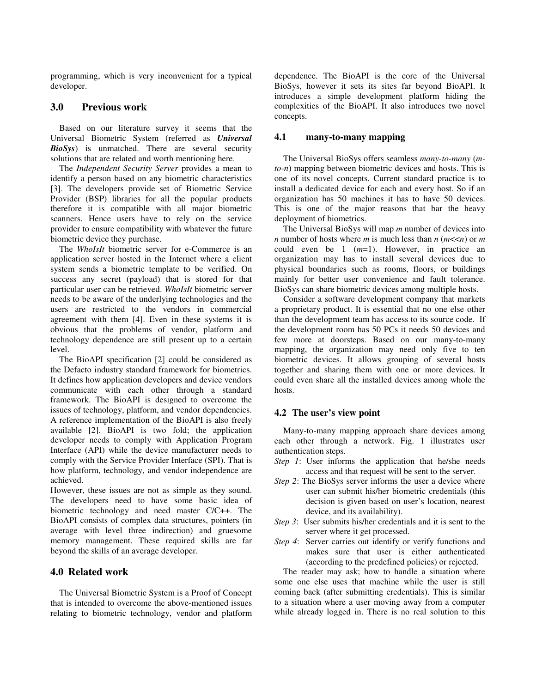programming, which is very inconvenient for a typical developer.

### **3.0 Previous work**

Based on our literature survey it seems that the Universal Biometric System (referred as *Universal BioSys*) is unmatched. There are several security solutions that are related and worth mentioning here.

The *Independent Security Server* provides a mean to identify a person based on any biometric characteristics [3]. The developers provide set of Biometric Service Provider (BSP) libraries for all the popular products therefore it is compatible with all major biometric scanners. Hence users have to rely on the service provider to ensure compatibility with whatever the future biometric device they purchase.

The *WhoIsIt* biometric server for e-Commerce is an application server hosted in the Internet where a client system sends a biometric template to be verified. On success any secret (payload) that is stored for that particular user can be retrieved. *WhoIsIt* biometric server needs to be aware of the underlying technologies and the users are restricted to the vendors in commercial agreement with them [4]. Even in these systems it is obvious that the problems of vendor, platform and technology dependence are still present up to a certain level.

The BioAPI specification [2] could be considered as the Defacto industry standard framework for biometrics. It defines how application developers and device vendors communicate with each other through a standard framework. The BioAPI is designed to overcome the issues of technology, platform, and vendor dependencies. A reference implementation of the BioAPI is also freely available [2]. BioAPI is two fold; the application developer needs to comply with Application Program Interface (API) while the device manufacturer needs to comply with the Service Provider Interface (SPI). That is how platform, technology, and vendor independence are achieved.

However, these issues are not as simple as they sound. The developers need to have some basic idea of biometric technology and need master C/C++. The BioAPI consists of complex data structures, pointers (in average with level three indirection) and gruesome memory management. These required skills are far beyond the skills of an average developer.

## **4.0 Related work**

The Universal Biometric System is a Proof of Concept that is intended to overcome the above-mentioned issues relating to biometric technology, vendor and platform

dependence. The BioAPI is the core of the Universal BioSys, however it sets its sites far beyond BioAPI. It introduces a simple development platform hiding the complexities of the BioAPI. It also introduces two novel concepts.

#### **4.1 many-to-many mapping**

The Universal BioSys offers seamless *many-to-many* (*mto-n*) mapping between biometric devices and hosts. This is one of its novel concepts. Current standard practice is to install a dedicated device for each and every host. So if an organization has 50 machines it has to have 50 devices. This is one of the major reasons that bar the heavy deployment of biometrics.

The Universal BioSys will map *m* number of devices into *n* number of hosts where *m* is much less than *n* (*m*<<*n*) or *m* could even be 1 (*m*=1). However, in practice an organization may has to install several devices due to physical boundaries such as rooms, floors, or buildings mainly for better user convenience and fault tolerance. BioSys can share biometric devices among multiple hosts.

Consider a software development company that markets a proprietary product. It is essential that no one else other than the development team has access to its source code. If the development room has 50 PCs it needs 50 devices and few more at doorsteps. Based on our many-to-many mapping, the organization may need only five to ten biometric devices. It allows grouping of several hosts together and sharing them with one or more devices. It could even share all the installed devices among whole the hosts.

#### **4.2 The user's view point**

Many-to-many mapping approach share devices among each other through a network. Fig. 1 illustrates user authentication steps.

- *Step 1*: User informs the application that he/she needs access and that request will be sent to the server.
- *Step 2*: The BioSys server informs the user a device where user can submit his/her biometric credentials (this decision is given based on user's location, nearest device, and its availability).
- *Step 3*: User submits his/her credentials and it is sent to the server where it get processed.
- *Step 4*: Server carries out identify or verify functions and makes sure that user is either authenticated (according to the predefined policies) or rejected.

The reader may ask; how to handle a situation where some one else uses that machine while the user is still coming back (after submitting credentials). This is similar to a situation where a user moving away from a computer while already logged in. There is no real solution to this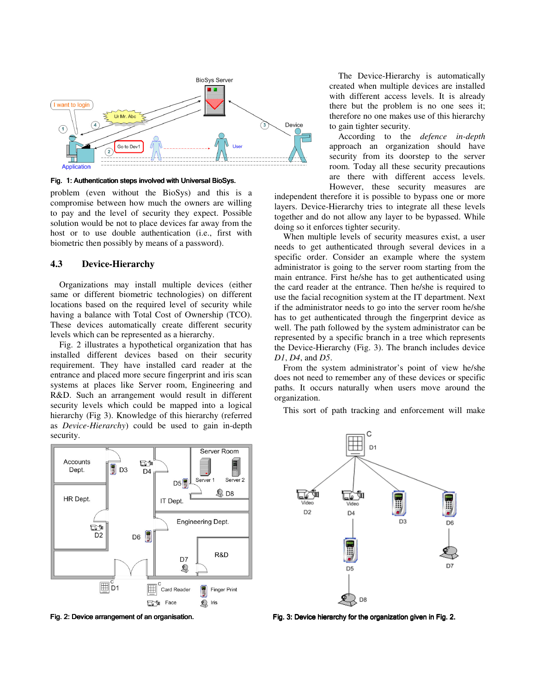

Fig. 1: Authentication steps involved with Universal BioSys.

problem (even without the BioSys) and this is a compromise between how much the owners are willing to pay and the level of security they expect. Possible solution would be not to place devices far away from the host or to use double authentication (i.e., first with biometric then possibly by means of a password).

#### **4.3 Device-Hierarchy**

Organizations may install multiple devices (either same or different biometric technologies) on different locations based on the required level of security while having a balance with Total Cost of Ownership (TCO). These devices automatically create different security levels which can be represented as a hierarchy.

Fig. 2 illustrates a hypothetical organization that has installed different devices based on their security requirement. They have installed card reader at the entrance and placed more secure fingerprint and iris scan systems at places like Server room, Engineering and R&D. Such an arrangement would result in different security levels which could be mapped into a logical hierarchy (Fig 3). Knowledge of this hierarchy (referred as *Device-Hierarchy*) could be used to gain in-depth security.



The Device-Hierarchy is automatically created when multiple devices are installed with different access levels. It is already there but the problem is no one sees it; therefore no one makes use of this hierarchy to gain tighter security.

According to the *defence in-depth* approach an organization should have security from its doorstep to the server room. Today all these security precautions are there with different access levels. However, these security measures are

independent therefore it is possible to bypass one or more layers. Device-Hierarchy tries to integrate all these levels together and do not allow any layer to be bypassed. While doing so it enforces tighter security.

When multiple levels of security measures exist, a user needs to get authenticated through several devices in a specific order. Consider an example where the system administrator is going to the server room starting from the main entrance. First he/she has to get authenticated using the card reader at the entrance. Then he/she is required to use the facial recognition system at the IT department. Next if the administrator needs to go into the server room he/she has to get authenticated through the fingerprint device as well. The path followed by the system administrator can be represented by a specific branch in a tree which represents the Device-Hierarchy (Fig. 3). The branch includes device *D1*, *D4*, and *D5*.

From the system administrator's point of view he/she does not need to remember any of these devices or specific paths. It occurs naturally when users move around the organization.

This sort of path tracking and enforcement will make



Fig. 2: Device arrangement of an organisation. **Execute arrangement of an organization Device hierarchy for the organization given in Fig. 2.**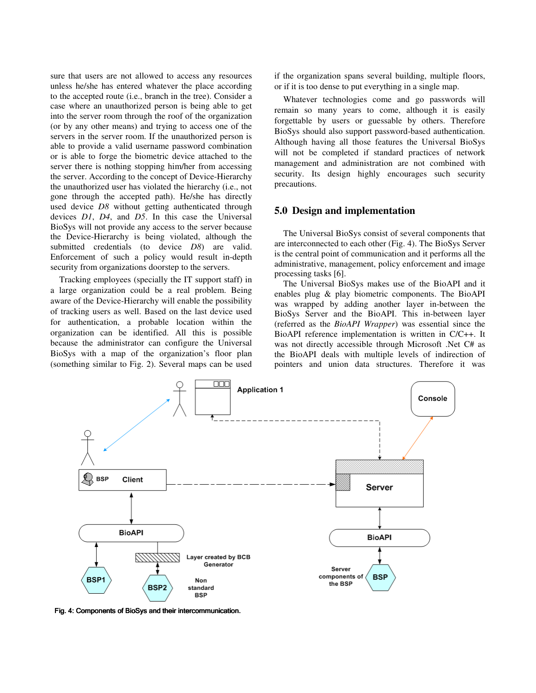sure that users are not allowed to access any resources unless he/she has entered whatever the place according to the accepted route (i.e., branch in the tree). Consider a case where an unauthorized person is being able to get into the server room through the roof of the organization (or by any other means) and trying to access one of the servers in the server room. If the unauthorized person is able to provide a valid username password combination or is able to forge the biometric device attached to the server there is nothing stopping him/her from accessing the server. According to the concept of Device-Hierarchy the unauthorized user has violated the hierarchy (i.e., not gone through the accepted path). He/she has directly used device *D8* without getting authenticated through devices *D1*, *D4*, and *D5*. In this case the Universal BioSys will not provide any access to the server because the Device-Hierarchy is being violated, although the submitted credentials (to device *D8*) are valid. Enforcement of such a policy would result in-depth security from organizations doorstep to the servers.

Tracking employees (specially the IT support staff) in a large organization could be a real problem. Being aware of the Device-Hierarchy will enable the possibility of tracking users as well. Based on the last device used for authentication, a probable location within the organization can be identified. All this is possible because the administrator can configure the Universal BioSys with a map of the organization's floor plan (something similar to Fig. 2). Several maps can be used

if the organization spans several building, multiple floors, or if it is too dense to put everything in a single map.

Whatever technologies come and go passwords will remain so many years to come, although it is easily forgettable by users or guessable by others. Therefore BioSys should also support password-based authentication. Although having all those features the Universal BioSys will not be completed if standard practices of network management and administration are not combined with security. Its design highly encourages such security precautions.

#### **5.0 Design and implementation**

The Universal BioSys consist of several components that are interconnected to each other (Fig. 4). The BioSys Server is the central point of communication and it performs all the administrative, management, policy enforcement and image processing tasks [6].

The Universal BioSys makes use of the BioAPI and it enables plug & play biometric components. The BioAPI was wrapped by adding another layer in-between the BioSys Server and the BioAPI. This in-between layer (referred as the *BioAPI Wrapper*) was essential since the BioAPI reference implementation is written in C/C++. It was not directly accessible through Microsoft .Net C# as the BioAPI deals with multiple levels of indirection of pointers and union data structures. Therefore it was



Fig. 4: Components of BioSys and their intercommunication.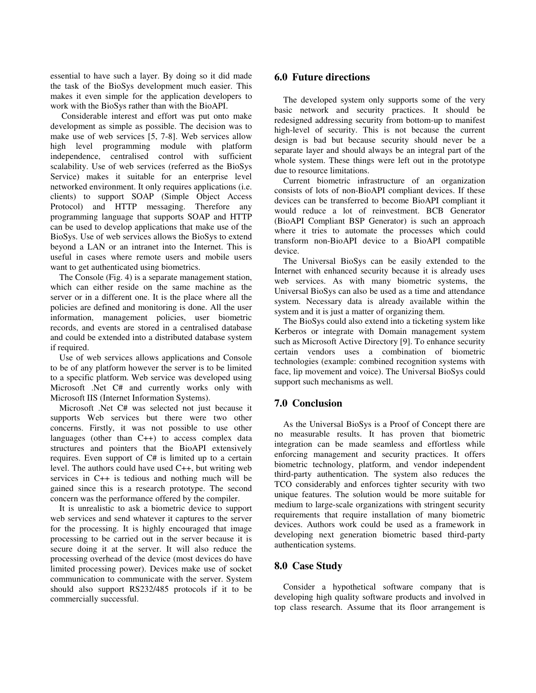essential to have such a layer. By doing so it did made the task of the BioSys development much easier. This makes it even simple for the application developers to work with the BioSys rather than with the BioAPI.

 Considerable interest and effort was put onto make development as simple as possible. The decision was to make use of web services [5, 7-8]. Web services allow high level programming module with platform independence, centralised control with sufficient scalability. Use of web services (referred as the BioSys Service) makes it suitable for an enterprise level networked environment. It only requires applications (i.e. clients) to support SOAP (Simple Object Access Protocol) and HTTP messaging. Therefore any programming language that supports SOAP and HTTP can be used to develop applications that make use of the BioSys. Use of web services allows the BioSys to extend beyond a LAN or an intranet into the Internet. This is useful in cases where remote users and mobile users want to get authenticated using biometrics.

The Console (Fig. 4) is a separate management station, which can either reside on the same machine as the server or in a different one. It is the place where all the policies are defined and monitoring is done. All the user information, management policies, user biometric records, and events are stored in a centralised database and could be extended into a distributed database system if required.

Use of web services allows applications and Console to be of any platform however the server is to be limited to a specific platform. Web service was developed using Microsoft .Net C# and currently works only with Microsoft IIS (Internet Information Systems).

Microsoft .Net C# was selected not just because it supports Web services but there were two other concerns. Firstly, it was not possible to use other languages (other than C++) to access complex data structures and pointers that the BioAPI extensively requires. Even support of C# is limited up to a certain level. The authors could have used C++, but writing web services in C++ is tedious and nothing much will be gained since this is a research prototype. The second concern was the performance offered by the compiler.

It is unrealistic to ask a biometric device to support web services and send whatever it captures to the server for the processing. It is highly encouraged that image processing to be carried out in the server because it is secure doing it at the server. It will also reduce the processing overhead of the device (most devices do have limited processing power). Devices make use of socket communication to communicate with the server. System should also support RS232/485 protocols if it to be commercially successful.

## **6.0 Future directions**

The developed system only supports some of the very basic network and security practices. It should be redesigned addressing security from bottom-up to manifest high-level of security. This is not because the current design is bad but because security should never be a separate layer and should always be an integral part of the whole system. These things were left out in the prototype due to resource limitations.

Current biometric infrastructure of an organization consists of lots of non-BioAPI compliant devices. If these devices can be transferred to become BioAPI compliant it would reduce a lot of reinvestment. BCB Generator (BioAPI Compliant BSP Generator) is such an approach where it tries to automate the processes which could transform non-BioAPI device to a BioAPI compatible device.

The Universal BioSys can be easily extended to the Internet with enhanced security because it is already uses web services. As with many biometric systems, the Universal BioSys can also be used as a time and attendance system. Necessary data is already available within the system and it is just a matter of organizing them.

The BioSys could also extend into a ticketing system like Kerberos or integrate with Domain management system such as Microsoft Active Directory [9]. To enhance security certain vendors uses a combination of biometric technologies (example: combined recognition systems with face, lip movement and voice). The Universal BioSys could support such mechanisms as well.

## **7.0 Conclusion**

As the Universal BioSys is a Proof of Concept there are no measurable results. It has proven that biometric integration can be made seamless and effortless while enforcing management and security practices. It offers biometric technology, platform, and vendor independent third-party authentication. The system also reduces the TCO considerably and enforces tighter security with two unique features. The solution would be more suitable for medium to large-scale organizations with stringent security requirements that require installation of many biometric devices. Authors work could be used as a framework in developing next generation biometric based third-party authentication systems.

### **8.0 Case Study**

Consider a hypothetical software company that is developing high quality software products and involved in top class research. Assume that its floor arrangement is